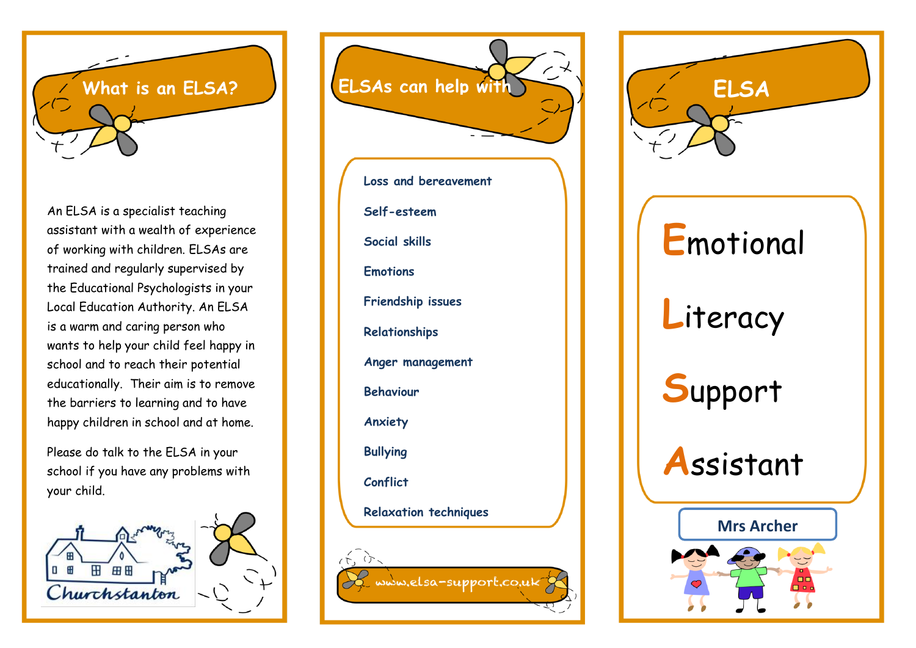

An ELSA is a specialist teaching assistant with a wealth of experience of working with children. ELSAs are trained and regularly supervised by the Educational Psychologists in your Local Education Authority. An ELSA is a warm and caring person who wants to help your child feel happy in school and to reach their potential educationally. Their aim is to remove the barriers to learning and to have happy children in school and at home.

Please do talk to the ELSA in your school if you have any problems with your child.







Le www.elsa-support.co.uk